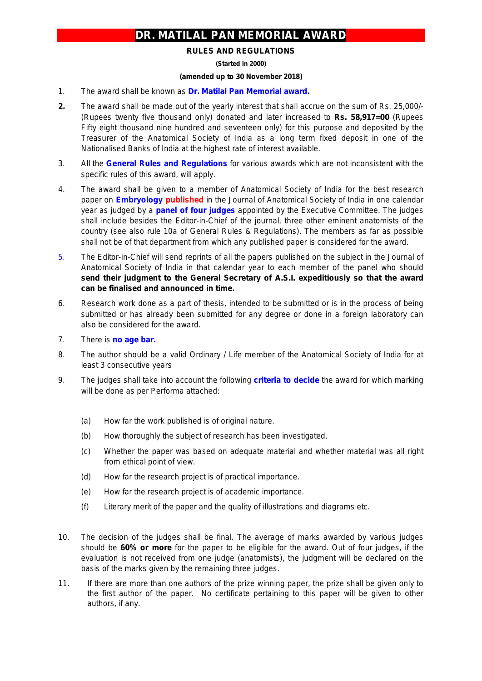## **DR. MATILAL PAN MEMORIAL AWARD**

## **RULES AND REGULATIONS**

**(Started in 2000)**

## **(amended up to 30 November 2018)**

- 1. The award shall be known as **Dr. Matilal Pan Memorial award.**
- **2.** The award shall be made out of the yearly interest that shall accrue on the sum of Rs. 25,000/- (Rupees twenty five thousand only) donated and later increased to **Rs. 58,917=00** (Rupees Fifty eight thousand nine hundred and seventeen only) for this purpose and deposited by the Treasurer of the Anatomical Society of India as a long term fixed deposit in one of the Nationalised Banks of India at the highest rate of interest available.
- 3. All the **General Rules and Regulations** for various awards which are not inconsistent with the specific rules of this award, will apply.
- 4. The award shall be given to a member of Anatomical Society of India for the best research paper on *Embryology* **published** in the Journal of Anatomical Society of India in one calendar year as judged by a **panel of four judges** appointed by the Executive Committee. The judges shall include besides the Editor-in-Chief of the journal, three other eminent anatomists of the country *(see also rule 10a of General Rules & Regulations)*. The members as far as possible shall not be of that department from which any published paper is considered for the award.
- 5. The Editor-in-Chief will send reprints of all the papers published on the subject in the Journal of Anatomical Society of India in that calendar year to each member of the panel who should **send their judgment to the General Secretary of A.S.I. expeditiously so that the award can be finalised and announced in time.**
- 6. Research work done as a part of thesis, intended to be submitted or is in the process of being submitted or has already been submitted for any degree or done in a foreign laboratory can also be considered for the award.
- 7. There is *no age bar.*
- 8. The author should be a valid Ordinary / Life member of the Anatomical Society of India for at least 3 consecutive years
- 9. The judges shall take into account the following **criteria to decide** the award for which marking will be done as per Performa attached:
	- (a) How far the work published is of original nature.
	- (b) How thoroughly the subject of research has been investigated.
	- (c) Whether the paper was based on adequate material and whether material was all right from ethical point of view.
	- (d) How far the research project is of practical importance.
	- (e) How far the research project is of academic importance.
	- (f) Literary merit of the paper and the quality of illustrations and diagrams etc.
- 10. The decision of the judges shall be final. The average of marks awarded by various judges should be **60% or more** for the paper to be eligible for the award. Out of four judges, if the evaluation is not received from one judge (anatomists), the judgment will be declared on the basis of the marks given by the remaining three judges.
- 11. If there are more than one authors of the prize winning paper, the prize shall be given only to the first author of the paper. No certificate pertaining to this paper will be given to other authors, if any.